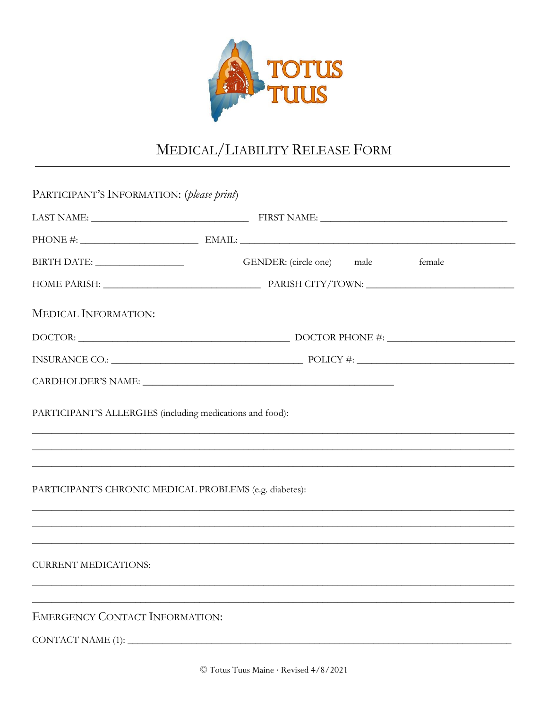

## MEDICAL/LIABILITY RELEASE FORM

| PARTICIPANT'S INFORMATION: (please print)                 |                                                                                                                                                                       |  |
|-----------------------------------------------------------|-----------------------------------------------------------------------------------------------------------------------------------------------------------------------|--|
|                                                           |                                                                                                                                                                       |  |
|                                                           |                                                                                                                                                                       |  |
|                                                           | GENDER: (circle one) male<br>female                                                                                                                                   |  |
|                                                           |                                                                                                                                                                       |  |
| <b>MEDICAL INFORMATION:</b>                               |                                                                                                                                                                       |  |
|                                                           |                                                                                                                                                                       |  |
|                                                           |                                                                                                                                                                       |  |
|                                                           |                                                                                                                                                                       |  |
| PARTICIPANT'S ALLERGIES (including medications and food): | ,我们也不能在这里的时候,我们也不能在这里的时候,我们也不能会在这里,我们也不能会不能会不能会不能会不能会不能会不能会。""我们的是我们的,我们也不能会不能会不                                                                                      |  |
|                                                           |                                                                                                                                                                       |  |
|                                                           | PARTICIPANT'S CHRONIC MEDICAL PROBLEMS (e.g. diabetes):                                                                                                               |  |
|                                                           | ,我们也不能会有什么。""我们的人,我们也不能会有什么?""我们的人,我们也不能会有什么?""我们的人,我们也不能会有什么?""我们的人,我们也不能会有什么?""<br>,我们也不能在这里的时候,我们也不能在这里的时候,我们也不能会在这里,我们也不能会在这里的时候,我们也不能会在这里的时候,我们也不能会在这里的时候,我们也不能会 |  |
| <b>CURRENT MEDICATIONS:</b>                               |                                                                                                                                                                       |  |
|                                                           |                                                                                                                                                                       |  |
| <b>EMERGENCY CONTACT INFORMATION:</b>                     |                                                                                                                                                                       |  |
| CONTACT NAME (1)                                          |                                                                                                                                                                       |  |